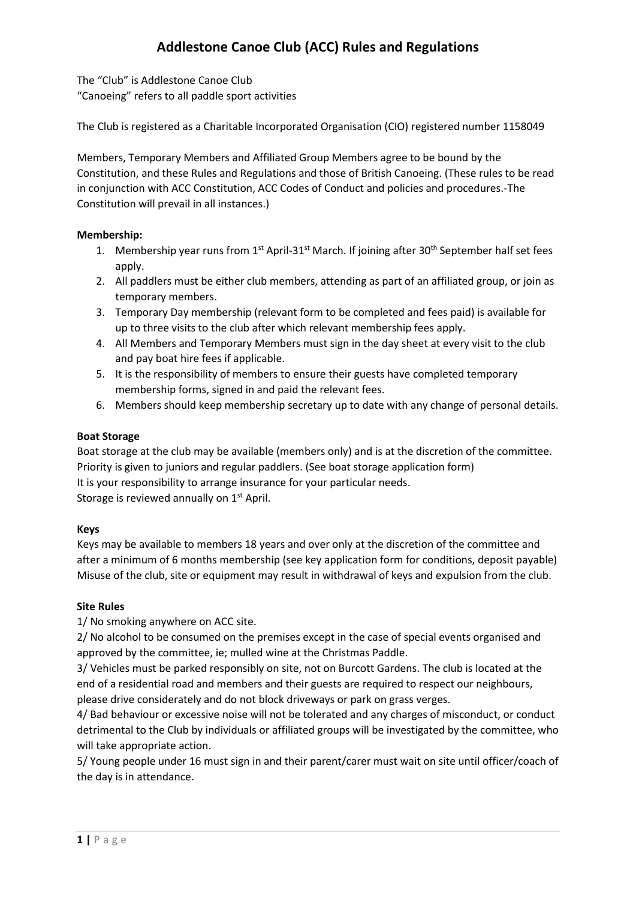# **Addlestone Canoe Club (ACC) Rules and Regulations**

The "Club" is Addlestone Canoe Club "Canoeing" refers to all paddle sport activities

The Club is registered as a Charitable Incorporated Organisation (CIO) registered number 1158049

Members, Temporary Members and Affiliated Group Members agree to be bound by the Constitution, and these Rules and Regulations and those of British Canoeing. (These rules to be read in conjunction with ACC Constitution, ACC Codes of Conduct and policies and procedures.-The Constitution will prevail in all instances.)

## **Membership:**

- 1. Membership year runs from 1<sup>st</sup> April-31<sup>st</sup> March. If joining after 30<sup>th</sup> September half set fees apply.
- 2. All paddlers must be either club members, attending as part of an affiliated group, or join as temporary members.
- 3. Temporary Day membership (relevant form to be completed and fees paid) is available for up to three visits to the club after which relevant membership fees apply.
- 4. All Members and Temporary Members must sign in the day sheet at every visit to the club and pay boat hire fees if applicable.
- 5. It is the responsibility of members to ensure their guests have completed temporary membership forms, signed in and paid the relevant fees.
- 6. Members should keep membership secretary up to date with any change of personal details.

## **Boat Storage**

Boat storage at the club may be available (members only) and is at the discretion of the committee. Priority is given to juniors and regular paddlers. (See boat storage application form) It is your responsibility to arrange insurance for your particular needs. Storage is reviewed annually on  $1<sup>st</sup>$  April.

## **Keys**

Keys may be available to members 18 years and over only at the discretion of the committee and after a minimum of 6 months membership (see key application form for conditions, deposit payable) Misuse of the club, site or equipment may result in withdrawal of keys and expulsion from the club.

## **Site Rules**

1/ No smoking anywhere on ACC site.

2/ No alcohol to be consumed on the premises except in the case of special events organised and approved by the committee, ie; mulled wine at the Christmas Paddle.

3/ Vehicles must be parked responsibly on site, not on Burcott Gardens. The club is located at the end of a residential road and members and their guests are required to respect our neighbours, please drive considerately and do not block driveways or park on grass verges.

4/ Bad behaviour or excessive noise will not be tolerated and any charges of misconduct, or conduct detrimental to the Club by individuals or affiliated groups will be investigated by the committee, who will take appropriate action.

5/ Young people under 16 must sign in and their parent/carer must wait on site until officer/coach of the day is in attendance.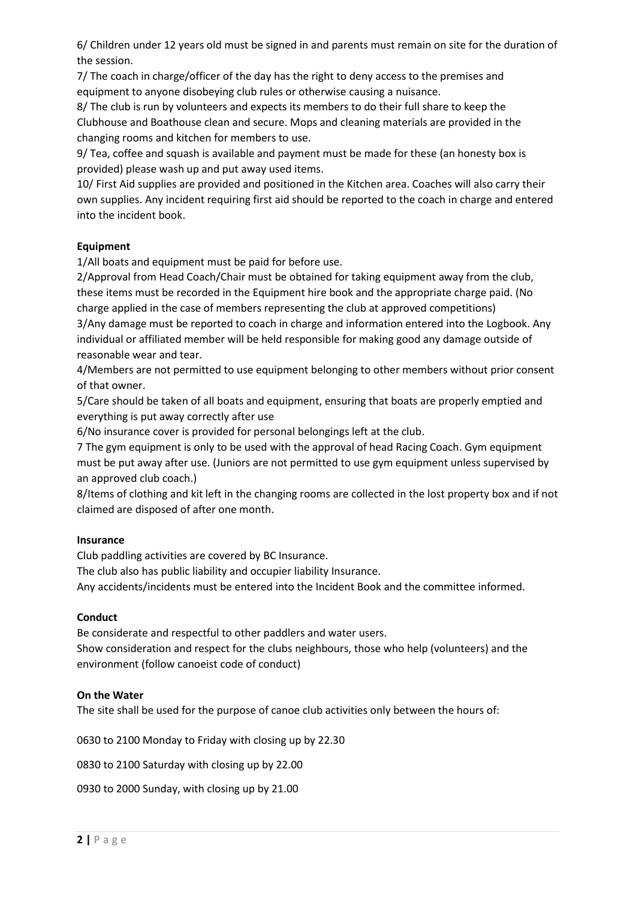6/ Children under 12 years old must be signed in and parents must remain on site for the duration of the session.

7/ The coach in charge/officer of the day has the right to deny access to the premises and equipment to anyone disobeying club rules or otherwise causing a nuisance.

8/ The club is run by volunteers and expects its members to do their full share to keep the Clubhouse and Boathouse clean and secure. Mops and cleaning materials are provided in the changing rooms and kitchen for members to use.

9/ Tea, coffee and squash is available and payment must be made for these (an honesty box is provided) please wash up and put away used items.

10/ First Aid supplies are provided and positioned in the Kitchen area. Coaches will also carry their own supplies. Any incident requiring first aid should be reported to the coach in charge and entered into the incident book.

## **Equipment**

1/All boats and equipment must be paid for before use.

2/Approval from Head Coach/Chair must be obtained for taking equipment away from the club, these items must be recorded in the Equipment hire book and the appropriate charge paid. (No charge applied in the case of members representing the club at approved competitions)

3/Any damage must be reported to coach in charge and information entered into the Logbook. Any individual or affiliated member will be held responsible for making good any damage outside of reasonable wear and tear.

4/Members are not permitted to use equipment belonging to other members without prior consent of that owner.

5/Care should be taken of all boats and equipment, ensuring that boats are properly emptied and everything is put away correctly after use

6/No insurance cover is provided for personal belongings left at the club.

7 The gym equipment is only to be used with the approval of head Racing Coach. Gym equipment must be put away after use. (Juniors are not permitted to use gym equipment unless supervised by an approved club coach.)

8/Items of clothing and kit left in the changing rooms are collected in the lost property box and if not claimed are disposed of after one month.

## **Insurance**

Club paddling activities are covered by BC Insurance.

The club also has public liability and occupier liability Insurance.

Any accidents/incidents must be entered into the Incident Book and the committee informed.

#### **Conduct**

Be considerate and respectful to other paddlers and water users.

Show consideration and respect for the clubs neighbours, those who help (volunteers) and the environment (follow canoeist code of conduct)

#### **On the Water**

The site shall be used for the purpose of canoe club activities only between the hours of:

0630 to 2100 Monday to Friday with closing up by 22.30

0830 to 2100 Saturday with closing up by 22.00

0930 to 2000 Sunday, with closing up by 21.00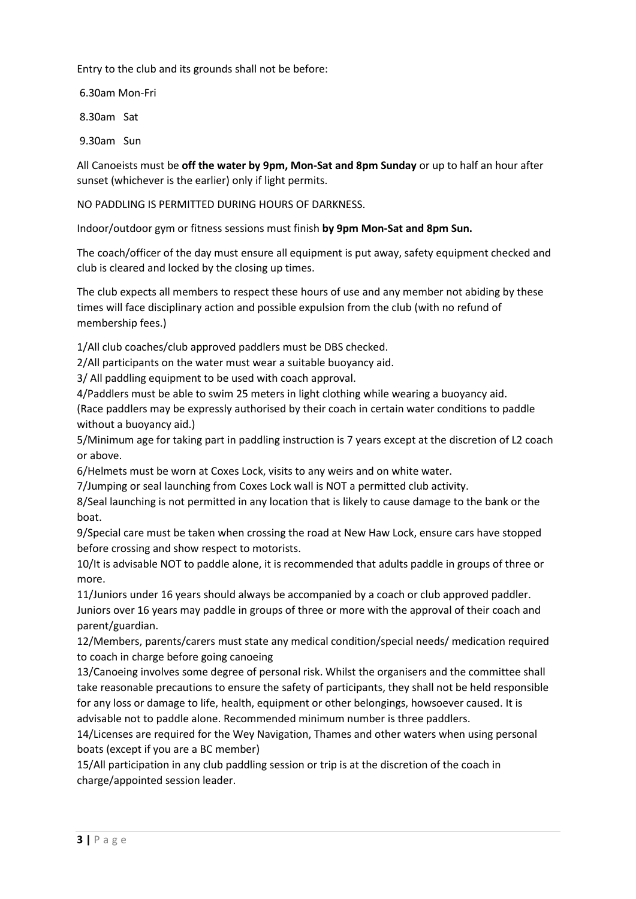Entry to the club and its grounds shall not be before:

6.30am Mon-Fri

8.30am Sat

9.30am Sun

All Canoeists must be **off the water by 9pm, Mon-Sat and 8pm Sunday** or up to half an hour after sunset (whichever is the earlier) only if light permits.

NO PADDLING IS PERMITTED DURING HOURS OF DARKNESS.

Indoor/outdoor gym or fitness sessions must finish **by 9pm Mon-Sat and 8pm Sun.**

The coach/officer of the day must ensure all equipment is put away, safety equipment checked and club is cleared and locked by the closing up times.

The club expects all members to respect these hours of use and any member not abiding by these times will face disciplinary action and possible expulsion from the club (with no refund of membership fees.)

1/All club coaches/club approved paddlers must be DBS checked.

2/All participants on the water must wear a suitable buoyancy aid.

3/ All paddling equipment to be used with coach approval.

4/Paddlers must be able to swim 25 meters in light clothing while wearing a buoyancy aid.

(Race paddlers may be expressly authorised by their coach in certain water conditions to paddle without a buoyancy aid.)

5/Minimum age for taking part in paddling instruction is 7 years except at the discretion of L2 coach or above.

6/Helmets must be worn at Coxes Lock, visits to any weirs and on white water.

7/Jumping or seal launching from Coxes Lock wall is NOT a permitted club activity.

8/Seal launching is not permitted in any location that is likely to cause damage to the bank or the boat.

9/Special care must be taken when crossing the road at New Haw Lock, ensure cars have stopped before crossing and show respect to motorists.

10/It is advisable NOT to paddle alone, it is recommended that adults paddle in groups of three or more.

11/Juniors under 16 years should always be accompanied by a coach or club approved paddler. Juniors over 16 years may paddle in groups of three or more with the approval of their coach and parent/guardian.

12/Members, parents/carers must state any medical condition/special needs/ medication required to coach in charge before going canoeing

13/Canoeing involves some degree of personal risk. Whilst the organisers and the committee shall take reasonable precautions to ensure the safety of participants, they shall not be held responsible for any loss or damage to life, health, equipment or other belongings, howsoever caused. It is advisable not to paddle alone. Recommended minimum number is three paddlers.

14/Licenses are required for the Wey Navigation, Thames and other waters when using personal boats (except if you are a BC member)

15/All participation in any club paddling session or trip is at the discretion of the coach in charge/appointed session leader.